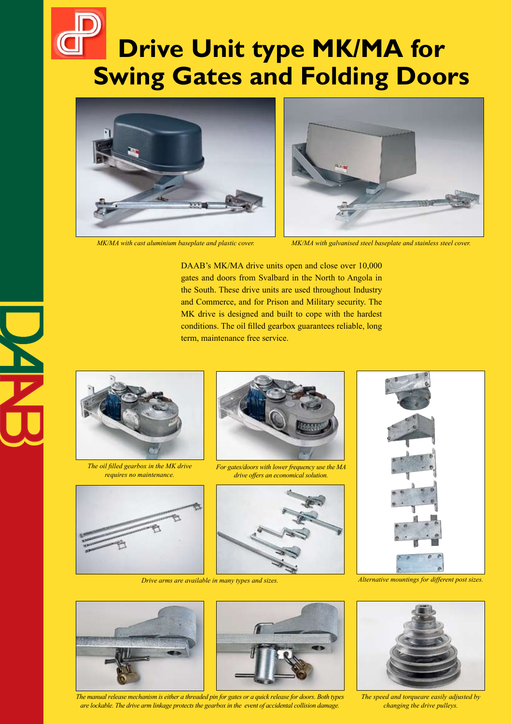# **Drive Unit type MK/MA for Swing Gates and Folding Doors**





*MK/MA with cast aluminium baseplate and plastic cover. MK/MA with galvanised steel baseplate and stainless steel cover.*

DAAB's MK/MA drive units open and close over 10,000 gates and doors from Svalbard in the North to Angola in the South. These drive units are used throughout Industry and Commerce, and for Prison and Military security. The MK drive is designed and built to cope with the hardest conditions. The oil filled gearbox guarantees reliable, long term, maintenance free service.

> *For gates/doors with lower frequency use the MA drive offers an economical solution.*



*The oil filled gearbox in the MK drive requires no maintenance.*



*Drive arms are available in many types and sizes. Alternative mountings for different post sizes.*







*The manual release mechanism is either a threaded pin for gates or a quick release for doors. Both types are lockable. The drive arm linkage protects the gearbox in the event of accidental collision damage.*



*The speed and torqueare easily adjusted by changing the drive pulleys.*